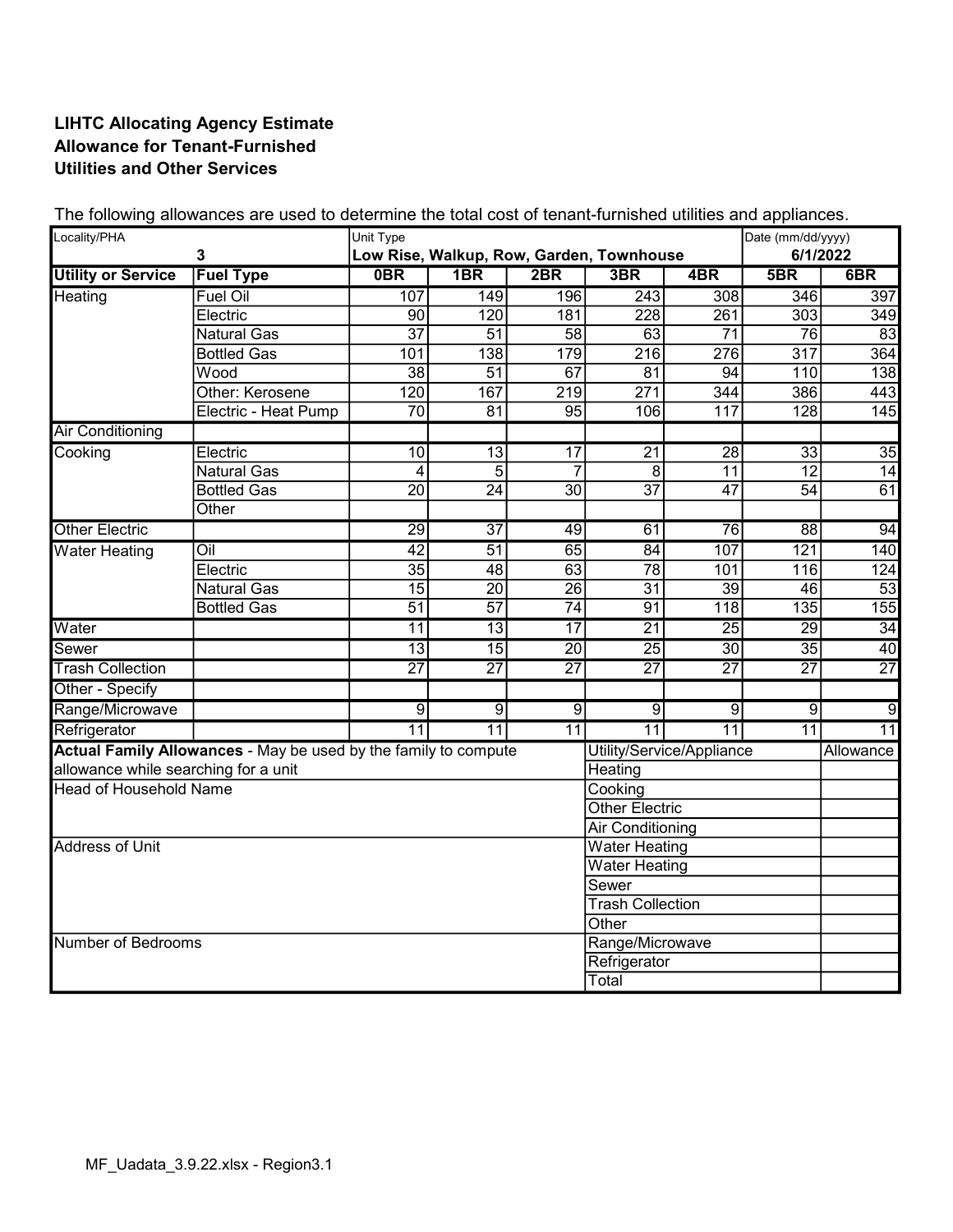## LIHTC Allocating Agency Estimate Allowance for Tenant-Furnished Utilities and Other Services

| Locality/PHA<br>$\mathbf{3}$          |                                                                 | Unit Type       |                  |                 | Low Rise, Walkup, Row, Garden, Townhouse |                 | Date (mm/dd/yyyy)<br>6/1/2022 |                 |
|---------------------------------------|-----------------------------------------------------------------|-----------------|------------------|-----------------|------------------------------------------|-----------------|-------------------------------|-----------------|
| <b>Utility or Service</b>             | <b>Fuel Type</b>                                                | 0BR             | 1B <sub>R</sub>  | 2BR             | 3BR                                      | 4BR             | 5B                            | 6B              |
| Heating                               | <b>Fuel Oil</b>                                                 | 107             | $\overline{149}$ | 196             | $\sqrt{243}$                             | 308             | 346                           | 397             |
|                                       | Electric                                                        | 90              | 120              | 181             | 228                                      | 261             | 303                           | 349             |
|                                       | <b>Natural Gas</b>                                              | $\overline{37}$ | $\overline{51}$  | $\overline{58}$ | 63                                       | $\overline{71}$ | $\overline{76}$               | 83              |
|                                       | <b>Bottled Gas</b>                                              | 101             | 138              | 179             | $\overline{216}$                         | 276             | $\overline{317}$              | 364             |
|                                       | Wood                                                            | $\overline{38}$ | 51               | 67              | 81                                       | 94              | 110                           | 138             |
|                                       | Other: Kerosene                                                 | 120             | 167              | 219             | 271                                      | 344             | 386                           | 443             |
|                                       | Electric - Heat Pump                                            | $\overline{70}$ | $\overline{81}$  | 95              | 106                                      | 117             | $\overline{128}$              | 145             |
| <b>Air Conditioning</b>               |                                                                 |                 |                  |                 |                                          |                 |                               |                 |
| Cooking                               | Electric                                                        | $\overline{10}$ | $\overline{13}$  | $\overline{17}$ | $\overline{21}$                          | $\overline{28}$ | 33                            | 35              |
|                                       | <b>Natural Gas</b>                                              | $\overline{4}$  | $\overline{5}$   | $\overline{7}$  | $\overline{8}$                           | $\overline{11}$ | $\overline{12}$               | 14              |
|                                       | <b>Bottled Gas</b>                                              | $\overline{20}$ | $\overline{24}$  | $\overline{30}$ | $\overline{37}$                          | $\overline{47}$ | $\overline{54}$               | 61              |
|                                       | Other                                                           |                 |                  |                 |                                          |                 |                               |                 |
| <b>Other Electric</b>                 |                                                                 | $\overline{29}$ | $\overline{37}$  | 49              | 61                                       | 76              | 88                            | 94              |
| <b>Water Heating</b>                  | $\overline{O}$ il                                               | $\overline{42}$ | $\overline{51}$  | 65              | 84                                       | 107             | 121                           | 140             |
|                                       | Electric                                                        | $\overline{35}$ | 48               | 63              | 78                                       | 101             | 116                           | 124             |
|                                       | <b>Natural Gas</b>                                              | 15              | 20               | 26              | 31                                       | 39              | 46                            | 53              |
|                                       | <b>Bottled Gas</b>                                              | $\overline{51}$ | $\overline{57}$  | $\overline{74}$ | 91                                       | 118             | 135                           | 155             |
| Water                                 |                                                                 | 11              | $\overline{13}$  | 17              | $\overline{21}$                          | 25              | 29                            | 34              |
| Sewer                                 |                                                                 | $\overline{13}$ | $\overline{15}$  | 20              | $\overline{25}$                          | 30              | 35                            | 40              |
| <b>Trash Collection</b>               |                                                                 | $\overline{27}$ | $\overline{27}$  | $\overline{27}$ | $\overline{27}$                          | $\overline{27}$ | $\overline{27}$               | $\overline{27}$ |
| Other - Specify                       |                                                                 |                 |                  |                 |                                          |                 |                               |                 |
| Range/Microwave                       |                                                                 | $\overline{9}$  | $\overline{9}$   | $\overline{9}$  | $\overline{9}$                           | $\overline{9}$  | $\overline{9}$                | g               |
| Refrigerator                          |                                                                 | $\overline{11}$ | $\overline{11}$  | $\overline{11}$ | $\overline{11}$                          | $\overline{11}$ | $\overline{11}$               | $\overline{11}$ |
|                                       | Actual Family Allowances - May be used by the family to compute |                 |                  |                 | Utility/Service/Appliance                |                 |                               | Allowance       |
| allowance while searching for a unit  |                                                                 |                 |                  |                 | Heating                                  |                 |                               |                 |
| <b>Head of Household Name</b>         |                                                                 |                 |                  |                 | Cooking                                  |                 |                               |                 |
|                                       |                                                                 |                 |                  |                 | <b>Other Electric</b>                    |                 |                               |                 |
|                                       |                                                                 |                 |                  |                 | Air Conditioning                         |                 |                               |                 |
| <b>Address of Unit</b>                |                                                                 |                 |                  |                 | <b>Water Heating</b>                     |                 |                               |                 |
|                                       |                                                                 |                 |                  |                 | <b>Water Heating</b>                     |                 |                               |                 |
|                                       |                                                                 |                 |                  |                 | Sewer                                    |                 |                               |                 |
|                                       |                                                                 |                 |                  |                 | <b>Trash Collection</b>                  |                 |                               |                 |
| Other                                 |                                                                 |                 |                  |                 |                                          |                 |                               |                 |
| Range/Microwave<br>Number of Bedrooms |                                                                 |                 |                  |                 |                                          |                 |                               |                 |
|                                       |                                                                 |                 |                  |                 | Refrigerator                             |                 |                               |                 |
|                                       |                                                                 |                 |                  |                 | Total                                    |                 |                               |                 |

The following allowances are used to determine the total cost of tenant-furnished utilities and appliances.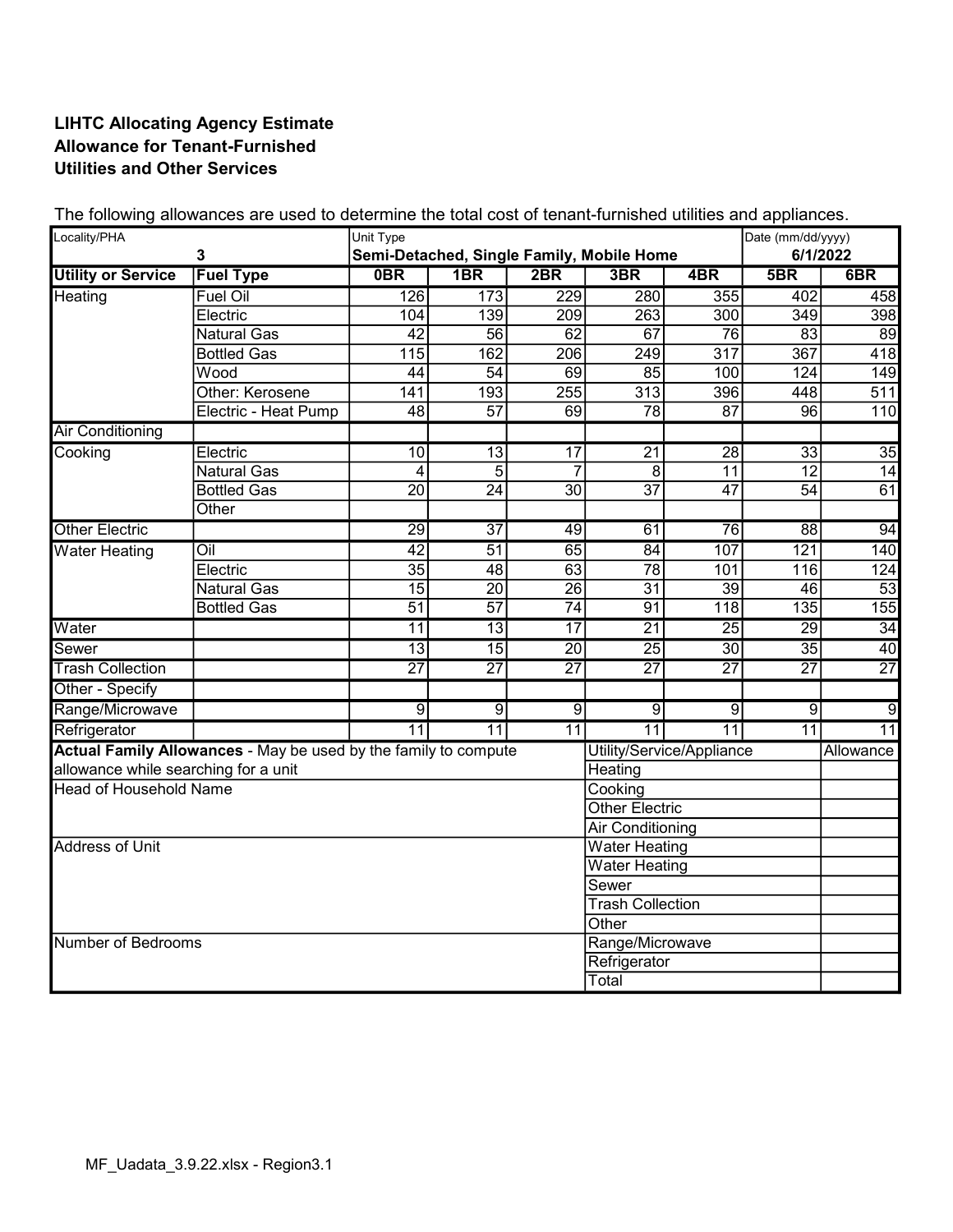## LIHTC Allocating Agency Estimate Allowance for Tenant-Furnished Utilities and Other Services

| Locality/PHA<br>3                                                                            |                      | Unit Type       |                  |                 | Semi-Detached, Single Family, Mobile Home |                  | Date (mm/dd/yyyy)<br>6/1/2022 |                  |
|----------------------------------------------------------------------------------------------|----------------------|-----------------|------------------|-----------------|-------------------------------------------|------------------|-------------------------------|------------------|
| <b>Utility or Service</b>                                                                    | <b>Fuel Type</b>     | <b>OBR</b>      | 1B <sub>R</sub>  | 2BR             | 3BR                                       | 4BR              | 5B                            | 6B               |
| Heating                                                                                      | <b>Fuel Oil</b>      | 126             | $\overline{173}$ | 229             | 280                                       | 355              | 402                           | 458              |
|                                                                                              | Electric             | 104             | 139              | 209             | 263                                       | 300              | $\overline{349}$              | 398              |
|                                                                                              | <b>Natural Gas</b>   | $\overline{42}$ | 56               | 62              | 67                                        | 76               | 83                            | 89               |
|                                                                                              | <b>Bottled Gas</b>   | 115             | 162              | 206             | 249                                       | $\overline{317}$ | 367                           | 418              |
|                                                                                              | Wood                 | 44              | 54               | 69              | 85                                        | 100              | 124                           | 149              |
|                                                                                              | Other: Kerosene      | 141             | 193              | 255             | 313                                       | 396              | 448                           | $\overline{511}$ |
|                                                                                              | Electric - Heat Pump | $\overline{48}$ | $\overline{57}$  | 69              | $\overline{78}$                           | $\overline{87}$  | 96                            | $\overline{110}$ |
| <b>Air Conditioning</b>                                                                      |                      |                 |                  |                 |                                           |                  |                               |                  |
| Cooking                                                                                      | Electric             | $\overline{10}$ | 13               | $\overline{17}$ | $\overline{21}$                           | $\overline{28}$  | 33                            | 35               |
|                                                                                              | <b>Natural Gas</b>   | $\overline{4}$  | $\overline{5}$   | $\overline{7}$  | $\overline{8}$                            | $\overline{11}$  | $\overline{12}$               | 14               |
|                                                                                              | <b>Bottled Gas</b>   | $\overline{20}$ | $\overline{24}$  | $\overline{30}$ | $\overline{37}$                           | $\overline{47}$  | $\overline{54}$               | 61               |
|                                                                                              | Other                |                 |                  |                 |                                           |                  |                               |                  |
| <b>Other Electric</b>                                                                        |                      | $\overline{29}$ | $\overline{37}$  | 49              | 61                                        | 76               | 88                            | 94               |
| <b>Water Heating</b>                                                                         | $\overline{O}$ il    | $\overline{42}$ | $\overline{51}$  | 65              | 84                                        | 107              | 121                           | 140              |
|                                                                                              | Electric             | $\overline{35}$ | 48               | 63              | $\overline{78}$                           | 101              | 116                           | 124              |
|                                                                                              | <b>Natural Gas</b>   | $\overline{15}$ | 20               | 26              | 31                                        | $\overline{39}$  | 46                            | 53               |
|                                                                                              | <b>Bottled Gas</b>   | $\overline{51}$ | $\overline{57}$  | $\overline{74}$ | $\overline{91}$                           | 118              | 135                           | 155              |
| Water                                                                                        |                      | 11              | 13               | $\overline{17}$ | 21                                        | 25               | 29                            | 34               |
| <b>Sewer</b>                                                                                 |                      | $\overline{13}$ | 15               | 20              | $\overline{25}$                           | $\overline{30}$  | 35                            | 40               |
| <b>Trash Collection</b>                                                                      |                      | $\overline{27}$ | $\overline{27}$  | $\overline{27}$ | $\overline{27}$                           | $\overline{27}$  | $\overline{27}$               | $\overline{27}$  |
| Other - Specify                                                                              |                      |                 |                  |                 |                                           |                  |                               |                  |
| Range/Microwave                                                                              |                      | $\overline{9}$  | $\overline{9}$   | $\overline{9}$  | $\overline{9}$                            | $\overline{9}$   | $\overline{9}$                | g                |
| Refrigerator                                                                                 |                      | $\overline{11}$ | $\overline{11}$  | $\overline{11}$ | $\overline{11}$                           | $\overline{11}$  | $\overline{11}$               | $\overline{11}$  |
| Actual Family Allowances - May be used by the family to compute<br>Utility/Service/Appliance |                      |                 |                  |                 |                                           |                  | Allowance                     |                  |
| allowance while searching for a unit                                                         |                      |                 |                  |                 | Heating                                   |                  |                               |                  |
| <b>Head of Household Name</b>                                                                |                      |                 |                  |                 | Cooking                                   |                  |                               |                  |
|                                                                                              |                      |                 |                  |                 | <b>Other Electric</b>                     |                  |                               |                  |
|                                                                                              |                      |                 |                  |                 | <b>Air Conditioning</b>                   |                  |                               |                  |
| Address of Unit                                                                              |                      |                 |                  |                 | <b>Water Heating</b>                      |                  |                               |                  |
|                                                                                              |                      |                 |                  |                 | <b>Water Heating</b>                      |                  |                               |                  |
|                                                                                              |                      |                 |                  |                 | Sewer                                     |                  |                               |                  |
|                                                                                              |                      |                 |                  |                 | <b>Trash Collection</b>                   |                  |                               |                  |
| Other                                                                                        |                      |                 |                  |                 |                                           |                  |                               |                  |
| Number of Bedrooms                                                                           |                      |                 |                  | Range/Microwave |                                           |                  |                               |                  |
|                                                                                              |                      |                 |                  |                 | Refrigerator                              |                  |                               |                  |
|                                                                                              |                      |                 |                  |                 | Total                                     |                  |                               |                  |

The following allowances are used to determine the total cost of tenant-furnished utilities and appliances.